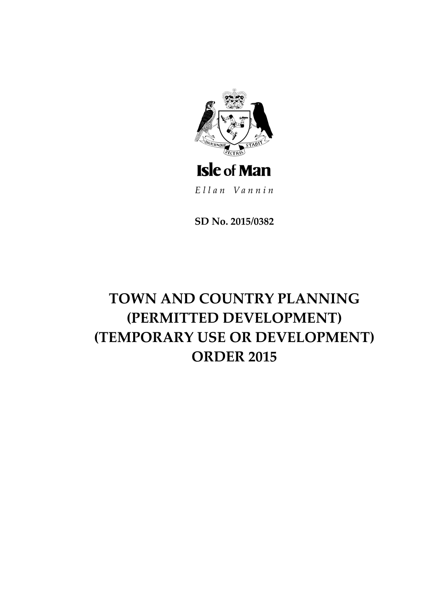

**SD No. 2015/0382**

# **TOWN AND COUNTRY PLANNING (PERMITTED DEVELOPMENT) (TEMPORARY USE OR DEVELOPMENT) ORDER 2015**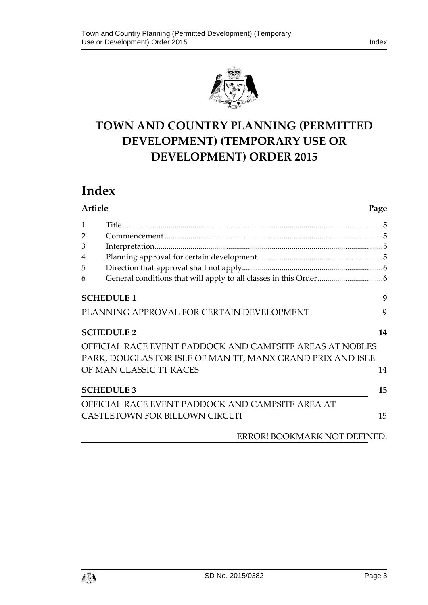

# **TOWN AND COUNTRY PLANNING (PERMITTED DEVELOPMENT) (TEMPORARY USE OR DEVELOPMENT) ORDER 2015**

# **Index**

| <b>Article</b> |                                                            | Page |  |
|----------------|------------------------------------------------------------|------|--|
| $\mathbf{1}$   |                                                            |      |  |
| $\overline{2}$ |                                                            |      |  |
| 3              |                                                            |      |  |
| 4              |                                                            |      |  |
| 5              |                                                            |      |  |
| 6              |                                                            |      |  |
|                | <b>SCHEDULE 1</b>                                          | 9    |  |
|                | PLANNING APPROVAL FOR CERTAIN DEVELOPMENT                  | 9    |  |
|                | <b>SCHEDULE 2</b>                                          | 14   |  |
|                | OFFICIAL RACE EVENT PADDOCK AND CAMPSITE AREAS AT NOBLES   |      |  |
|                | PARK, DOUGLAS FOR ISLE OF MAN TT, MANX GRAND PRIX AND ISLE |      |  |
|                | OF MAN CLASSIC TT RACES                                    | 14   |  |
|                | <b>SCHEDULE 3</b>                                          | 15   |  |
|                | OFFICIAL RACE EVENT PADDOCK AND CAMPSITE AREA AT           |      |  |
|                | CASTLETOWN FOR BILLOWN CIRCUIT                             | 15   |  |
|                | ERROR! BOOKMARK NOT DEFINED.                               |      |  |

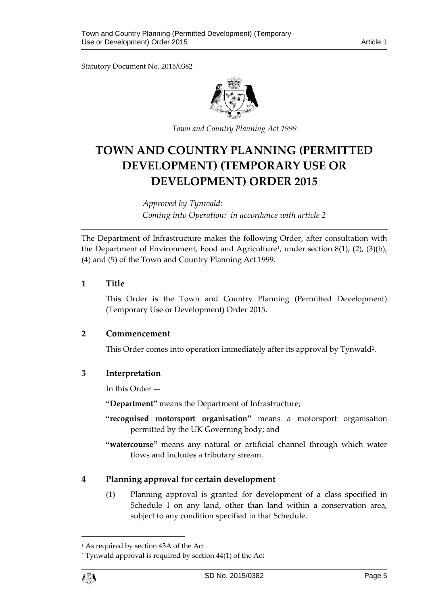Statutory Document No. 2015/0382



*Town and Country Planning Act 1999*

# **TOWN AND COUNTRY PLANNING (PERMITTED DEVELOPMENT) (TEMPORARY USE OR DEVELOPMENT) ORDER 2015**

*Approved by Tynwald: Coming into Operation: in accordance with article 2*

The Department of Infrastructure makes the following Order, after consultation with the Department of Environment, Food and Agriculture<sup>1</sup>, under section 8(1), (2), (3)(b), (4) and (5) of the Town and Country Planning Act 1999.

#### <span id="page-4-0"></span>**1 Title**

This Order is the Town and Country Planning (Permitted Development) (Temporary Use or Development) Order 2015.

#### <span id="page-4-1"></span>**2 Commencement**

This Order comes into operation immediately after its approval by Tynwald<sup>2</sup>.

#### <span id="page-4-2"></span>**3 Interpretation**

In this Order —

**"Department"** means the Department of Infrastructure;

- **"recognised motorsport organisation"** means a motorsport organisation permitted by the UK Governing body; and
- **"watercourse"** means any natural or artificial channel through which water flows and includes a tributary stream.

#### <span id="page-4-3"></span>**4 Planning approval for certain development**

(1) Planning approval is granted for development of a class specified in Schedule 1 on any land, other than land within a conservation area, subject to any condition specified in that Schedule.

 $\overline{a}$ 

<sup>1</sup> As required by section 43A of the Act

<sup>2</sup> Tynwald approval is required by section 44(1) of the Act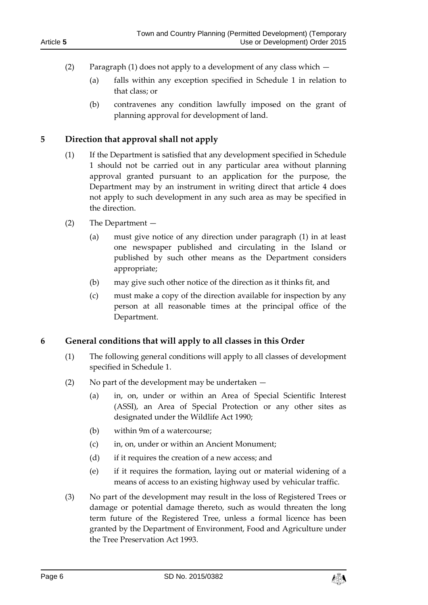- (2) Paragraph (1) does not apply to a development of any class which
	- (a) falls within any exception specified in Schedule 1 in relation to that class; or
	- (b) contravenes any condition lawfully imposed on the grant of planning approval for development of land.

# <span id="page-5-0"></span>**5 Direction that approval shall not apply**

- (1) If the Department is satisfied that any development specified in Schedule 1 should not be carried out in any particular area without planning approval granted pursuant to an application for the purpose, the Department may by an instrument in writing direct that article 4 does not apply to such development in any such area as may be specified in the direction.
- (2) The Department
	- (a) must give notice of any direction under paragraph (1) in at least one newspaper published and circulating in the Island or published by such other means as the Department considers appropriate;
	- (b) may give such other notice of the direction as it thinks fit, and
	- (c) must make a copy of the direction available for inspection by any person at all reasonable times at the principal office of the Department.

# <span id="page-5-1"></span>**6 General conditions that will apply to all classes in this Order**

- (1) The following general conditions will apply to all classes of development specified in Schedule 1.
- (2) No part of the development may be undertaken
	- (a) in, on, under or within an Area of Special Scientific Interest (ASSI), an Area of Special Protection or any other sites as designated under the Wildlife Act 1990;
	- (b) within 9m of a watercourse;
	- (c) in, on, under or within an Ancient Monument;
	- (d) if it requires the creation of a new access; and
	- (e) if it requires the formation, laying out or material widening of a means of access to an existing highway used by vehicular traffic.
- (3) No part of the development may result in the loss of Registered Trees or damage or potential damage thereto, such as would threaten the long term future of the Registered Tree, unless a formal licence has been granted by the Department of Environment, Food and Agriculture under the Tree Preservation Act 1993.

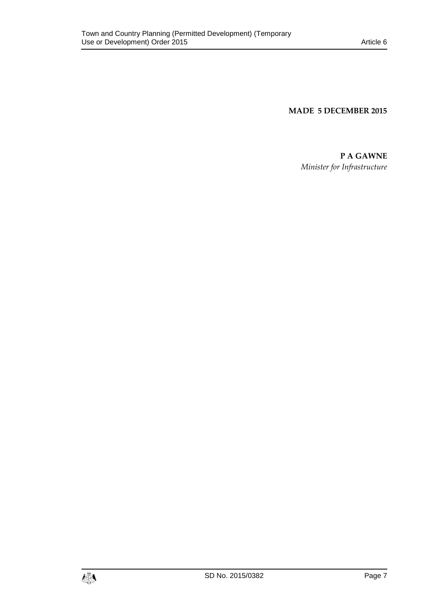**MADE 5 DECEMBER 2015**

**P A GAWNE** *Minister for Infrastructure*

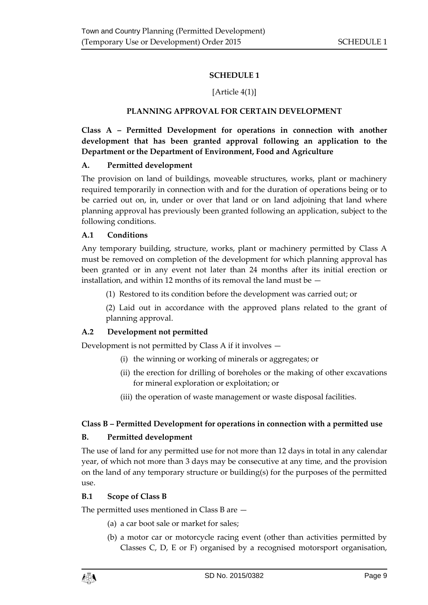# **SCHEDULE 1**

# [Article 4(1)]

# **PLANNING APPROVAL FOR CERTAIN DEVELOPMENT**

<span id="page-8-1"></span><span id="page-8-0"></span>**Class A – Permitted Development for operations in connection with another development that has been granted approval following an application to the Department or the Department of Environment, Food and Agriculture**

#### **A. Permitted development**

The provision on land of buildings, moveable structures, works, plant or machinery required temporarily in connection with and for the duration of operations being or to be carried out on, in, under or over that land or on land adjoining that land where planning approval has previously been granted following an application, subject to the following conditions.

#### **A.1 Conditions**

Any temporary building, structure, works, plant or machinery permitted by Class A must be removed on completion of the development for which planning approval has been granted or in any event not later than 24 months after its initial erection or installation, and within 12 months of its removal the land must be —

(1) Restored to its condition before the development was carried out; or

(2) Laid out in accordance with the approved plans related to the grant of planning approval.

# **A.2 Development not permitted**

Development is not permitted by Class A if it involves —

- (i) the winning or working of minerals or aggregates; or
- (ii) the erection for drilling of boreholes or the making of other excavations for mineral exploration or exploitation; or
- (iii) the operation of waste management or waste disposal facilities.

# **Class B – Permitted Development for operations in connection with a permitted use**

# **B. Permitted development**

The use of land for any permitted use for not more than 12 days in total in any calendar year, of which not more than 3 days may be consecutive at any time, and the provision on the land of any temporary structure or building(s) for the purposes of the permitted use.

#### **B.1 Scope of Class B**

The permitted uses mentioned in Class B are —

- (a) a car boot sale or market for sales;
- (b) a motor car or motorcycle racing event (other than activities permitted by Classes C, D, E or F) organised by a recognised motorsport organisation,

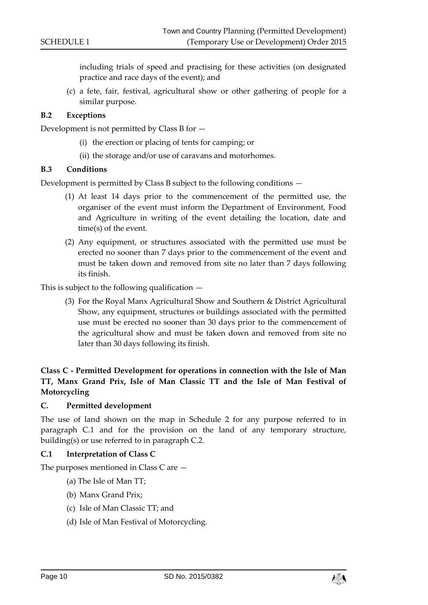including trials of speed and practising for these activities (on designated practice and race days of the event); and

(c) a fete, fair, festival, agricultural show or other gathering of people for a similar purpose.

#### **B.2 Exceptions**

Development is not permitted by Class B for —

- (i) the erection or placing of tents for camping; or
- (ii) the storage and/or use of caravans and motorhomes.

#### **B.3 Conditions**

Development is permitted by Class B subject to the following conditions —

- (1) At least 14 days prior to the commencement of the permitted use, the organiser of the event must inform the Department of Environment, Food and Agriculture in writing of the event detailing the location, date and time(s) of the event.
- (2) Any equipment, or structures associated with the permitted use must be erected no sooner than 7 days prior to the commencement of the event and must be taken down and removed from site no later than 7 days following its finish.

This is subject to the following qualification  $-$ 

(3) For the Royal Manx Agricultural Show and Southern & District Agricultural Show, any equipment, structures or buildings associated with the permitted use must be erected no sooner than 30 days prior to the commencement of the agricultural show and must be taken down and removed from site no later than 30 days following its finish.

# **Class C - Permitted Development for operations in connection with the Isle of Man TT, Manx Grand Prix, Isle of Man Classic TT and the Isle of Man Festival of Motorcycling**

#### **C. Permitted development**

The use of land shown on the map in Schedule 2 for any purpose referred to in paragraph C.1 and for the provision on the land of any temporary structure, building(s) or use referred to in paragraph C.2.

#### **C.1 Interpretation of Class C**

The purposes mentioned in Class C are —

- (a) The Isle of Man TT;
- (b) Manx Grand Prix;
- (c) Isle of Man Classic TT; and
- (d) Isle of Man Festival of Motorcycling.

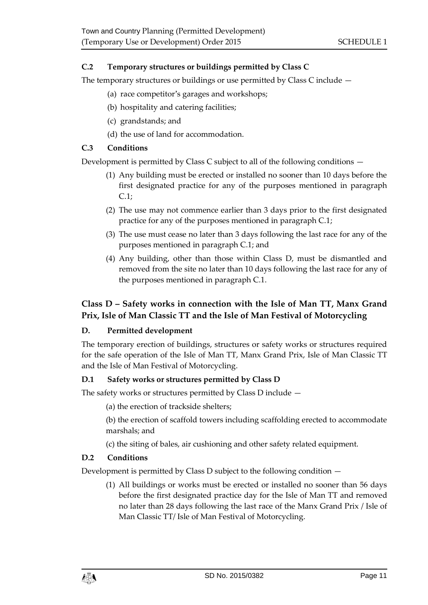# **C.2 Temporary structures or buildings permitted by Class C**

The temporary structures or buildings or use permitted by Class C include —

- (a) race competitor's garages and workshops;
- (b) hospitality and catering facilities;
- (c) grandstands; and
- (d) the use of land for accommodation.

# **C.3 Conditions**

Development is permitted by Class C subject to all of the following conditions —

- (1) Any building must be erected or installed no sooner than 10 days before the first designated practice for any of the purposes mentioned in paragraph C.1;
- (2) The use may not commence earlier than 3 days prior to the first designated practice for any of the purposes mentioned in paragraph C.1;
- (3) The use must cease no later than 3 days following the last race for any of the purposes mentioned in paragraph C.1; and
- (4) Any building, other than those within Class D, must be dismantled and removed from the site no later than 10 days following the last race for any of the purposes mentioned in paragraph C.1.

# **Class D – Safety works in connection with the Isle of Man TT, Manx Grand Prix, Isle of Man Classic TT and the Isle of Man Festival of Motorcycling**

# **D. Permitted development**

The temporary erection of buildings, structures or safety works or structures required for the safe operation of the Isle of Man TT, Manx Grand Prix, Isle of Man Classic TT and the Isle of Man Festival of Motorcycling.

# **D.1 Safety works or structures permitted by Class D**

The safety works or structures permitted by Class D include —

- (a) the erection of trackside shelters;
- (b) the erection of scaffold towers including scaffolding erected to accommodate marshals; and
- (c) the siting of bales, air cushioning and other safety related equipment.

# **D.2 Conditions**

Development is permitted by Class D subject to the following condition —

(1) All buildings or works must be erected or installed no sooner than 56 days before the first designated practice day for the Isle of Man TT and removed no later than 28 days following the last race of the Manx Grand Prix / Isle of Man Classic TT/ Isle of Man Festival of Motorcycling.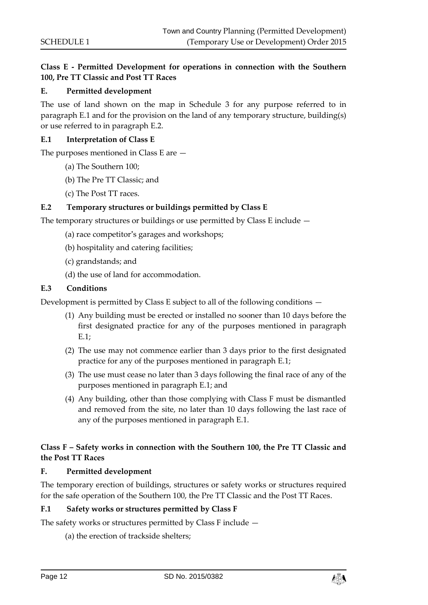# **Class E - Permitted Development for operations in connection with the Southern 100, Pre TT Classic and Post TT Races**

#### **E. Permitted development**

The use of land shown on the map in Schedule 3 for any purpose referred to in paragraph E.1 and for the provision on the land of any temporary structure, building(s) or use referred to in paragraph E.2.

#### **E.1 Interpretation of Class E**

The purposes mentioned in Class E are —

- (a) The Southern 100;
- (b) The Pre TT Classic; and
- (c) The Post TT races.

#### **E.2 Temporary structures or buildings permitted by Class E**

The temporary structures or buildings or use permitted by Class E include —

- (a) race competitor's garages and workshops;
- (b) hospitality and catering facilities;
- (c) grandstands; and
- (d) the use of land for accommodation.

#### **E.3 Conditions**

Development is permitted by Class E subject to all of the following conditions —

- (1) Any building must be erected or installed no sooner than 10 days before the first designated practice for any of the purposes mentioned in paragraph E.1;
- (2) The use may not commence earlier than 3 days prior to the first designated practice for any of the purposes mentioned in paragraph E.1;
- (3) The use must cease no later than 3 days following the final race of any of the purposes mentioned in paragraph E.1; and
- (4) Any building, other than those complying with Class F must be dismantled and removed from the site, no later than 10 days following the last race of any of the purposes mentioned in paragraph E.1.

# **Class F – Safety works in connection with the Southern 100, the Pre TT Classic and the Post TT Races**

#### **F. Permitted development**

The temporary erection of buildings, structures or safety works or structures required for the safe operation of the Southern 100, the Pre TT Classic and the Post TT Races.

#### **F.1 Safety works or structures permitted by Class F**

The safety works or structures permitted by Class F include —

(a) the erection of trackside shelters;

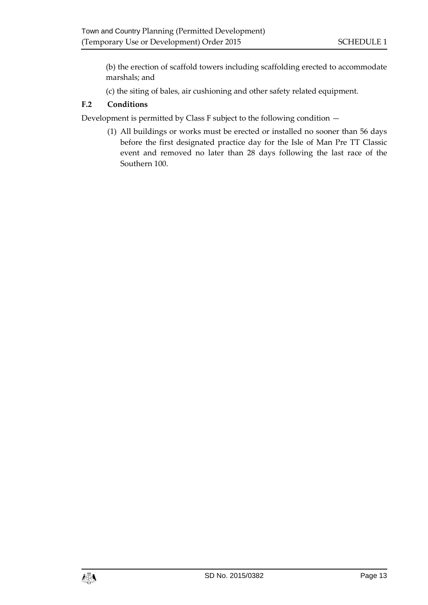(b) the erection of scaffold towers including scaffolding erected to accommodate marshals; and

(c) the siting of bales, air cushioning and other safety related equipment.

# **F.2 Conditions**

Development is permitted by Class F subject to the following condition —

(1) All buildings or works must be erected or installed no sooner than 56 days before the first designated practice day for the Isle of Man Pre TT Classic event and removed no later than 28 days following the last race of the Southern 100.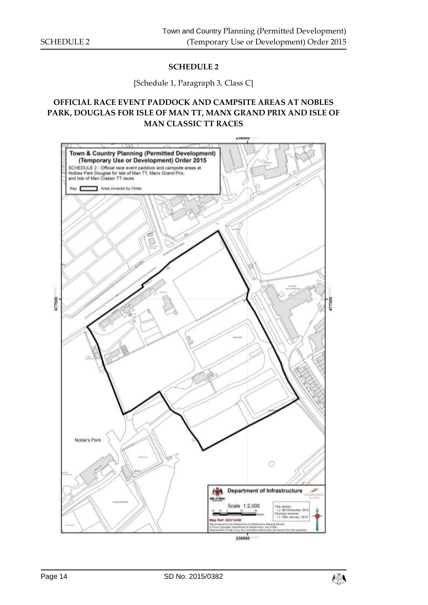# **SCHEDULE 2**

#### [Schedule 1, Paragraph 3, Class C]

# <span id="page-13-1"></span><span id="page-13-0"></span>**OFFICIAL RACE EVENT PADDOCK AND CAMPSITE AREAS AT NOBLES PARK, DOUGLAS FOR ISLE OF MAN TT, MANX GRAND PRIX AND ISLE OF MAN CLASSIC TT RACES**



$$
\mathbf{A}^{\mathbf{w}}_{\mathbf{w}}
$$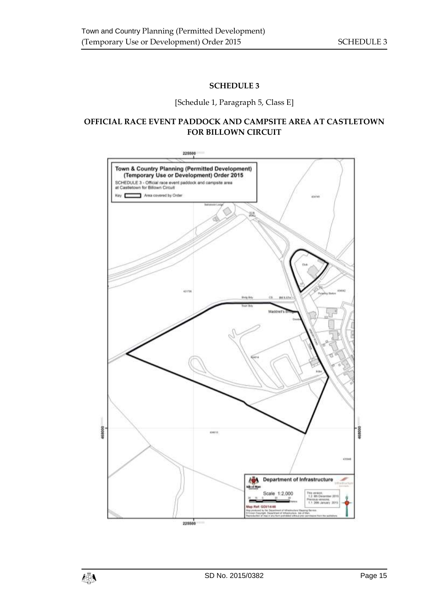# **SCHEDULE 3**

[Schedule 1, Paragraph 5, Class E]

# <span id="page-14-1"></span><span id="page-14-0"></span>**OFFICIAL RACE EVENT PADDOCK AND CAMPSITE AREA AT CASTLETOWN FOR BILLOWN CIRCUIT**